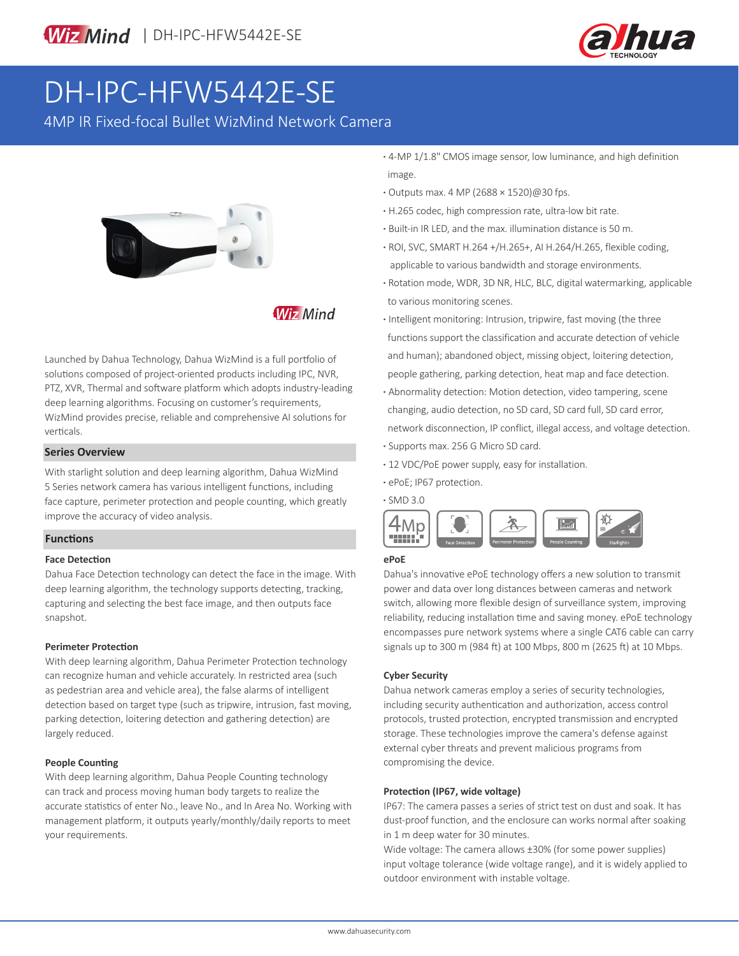

# DH-IPC-HFW5442E-SE

4MP IR Fixed-focal Bullet WizMind Network Camera



### **Wiz Mind**

Launched by Dahua Technology, Dahua WizMind is a full portfolio of solutions composed of project-oriented products including IPC, NVR, PTZ, XVR, Thermal and software platform which adopts industry-leading deep learning algorithms. Focusing on customer's requirements, WizMind provides precise, reliable and comprehensive AI solutions for verticals.

#### **Series Overview**

With starlight solution and deep learning algorithm, Dahua WizMind 5 Series network camera has various intelligent functions, including face capture, perimeter protection and people counting, which greatly improve the accuracy of video analysis.

#### **Functions**

#### **Face Detection**

Dahua Face Detection technology can detect the face in the image. With deep learning algorithm, the technology supports detecting, tracking, capturing and selecting the best face image, and then outputs face snapshot.

#### **Perimeter Protection**

With deep learning algorithm, Dahua Perimeter Protection technology can recognize human and vehicle accurately. In restricted area (such as pedestrian area and vehicle area), the false alarms of intelligent detection based on target type (such as tripwire, intrusion, fast moving, parking detection, loitering detection and gathering detection) are largely reduced.

#### **People Counting**

With deep learning algorithm, Dahua People Counting technology can track and process moving human body targets to realize the accurate statistics of enter No., leave No., and In Area No. Working with management platform, it outputs yearly/monthly/daily reports to meet your requirements.

- **·** 4-MP 1/1.8" CMOS image sensor, low luminance, and high definition image.
- **·** Outputs max. 4 MP (2688 × 1520)@30 fps.
- **·** H.265 codec, high compression rate, ultra-low bit rate.
- **·** Built-in IR LED, and the max. illumination distance is 50 m.
- **·** ROI, SVC, SMART H.264 +/H.265+, AI H.264/H.265, flexible coding, applicable to various bandwidth and storage environments.
- **·** Rotation mode, WDR, 3D NR, HLC, BLC, digital watermarking, applicable to various monitoring scenes.
- **·** Intelligent monitoring: Intrusion, tripwire, fast moving (the three functions support the classification and accurate detection of vehicle and human); abandoned object, missing object, loitering detection, people gathering, parking detection, heat map and face detection.
- **·** Abnormality detection: Motion detection, video tampering, scene changing, audio detection, no SD card, SD card full, SD card error, network disconnection, IP conflict, illegal access, and voltage detection. **·** Supports max. 256 G Micro SD card.
- **·** 12 VDC/PoE power supply, easy for installation.
- **·** ePoE; IP67 protection.

**·** SMD 3.0



#### **ePoE**

Dahua's innovative ePoE technology offers a new solution to transmit power and data over long distances between cameras and network switch, allowing more flexible design of surveillance system, improving reliability, reducing installation time and saving money. ePoE technology encompasses pure network systems where a single CAT6 cable can carry signals up to 300 m (984 ft) at 100 Mbps, 800 m (2625 ft) at 10 Mbps.

#### **Cyber Security**

Dahua network cameras employ a series of security technologies, including security authentication and authorization, access control protocols, trusted protection, encrypted transmission and encrypted storage. These technologies improve the camera's defense against external cyber threats and prevent malicious programs from compromising the device.

#### **Protection (IP67, wide voltage)**

IP67: The camera passes a series of strict test on dust and soak. It has dust-proof function, and the enclosure can works normal after soaking in 1 m deep water for 30 minutes.

Wide voltage: The camera allows ±30% (for some power supplies) input voltage tolerance (wide voltage range), and it is widely applied to outdoor environment with instable voltage.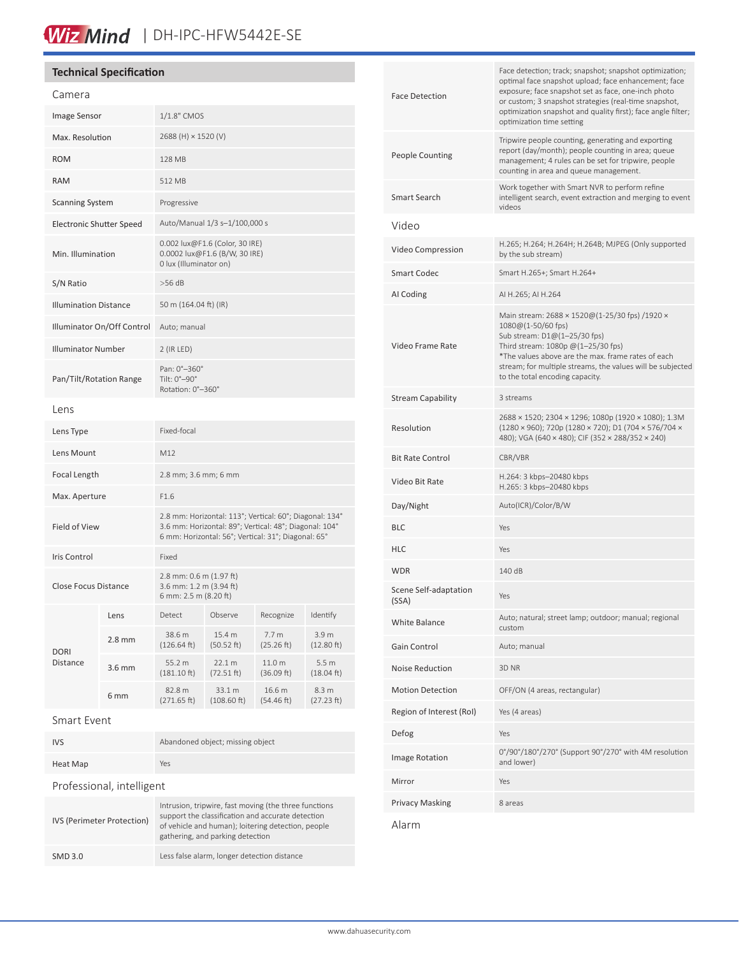# Wiz Mind | DH-IPC-HFW5442E-SE

### **Technical Specification**

| Camera                          |                   |                                                                                                                                                                          |                       |                                |                     |
|---------------------------------|-------------------|--------------------------------------------------------------------------------------------------------------------------------------------------------------------------|-----------------------|--------------------------------|---------------------|
| Image Sensor                    |                   | 1/1.8" CMOS                                                                                                                                                              |                       |                                |                     |
| Max. Resolution                 |                   | 2688 (H) × 1520 (V)                                                                                                                                                      |                       |                                |                     |
| <b>ROM</b>                      |                   | 128 MB                                                                                                                                                                   |                       |                                |                     |
| <b>RAM</b>                      |                   | 512 MB                                                                                                                                                                   |                       |                                |                     |
| <b>Scanning System</b>          |                   | Progressive                                                                                                                                                              |                       |                                |                     |
| <b>Electronic Shutter Speed</b> |                   | Auto/Manual 1/3 s-1/100,000 s                                                                                                                                            |                       |                                |                     |
| Min. Illumination               |                   | 0.002 lux@F1.6 (Color, 30 IRE)<br>0.0002 lux@F1.6 (B/W, 30 IRE)<br>0 lux (Illuminator on)                                                                                |                       |                                |                     |
| S/N Ratio                       |                   | $>56$ dB                                                                                                                                                                 |                       |                                |                     |
| <b>Illumination Distance</b>    |                   | 50 m (164.04 ft) (IR)                                                                                                                                                    |                       |                                |                     |
| Illuminator On/Off Control      |                   | Auto; manual                                                                                                                                                             |                       |                                |                     |
| <b>Illuminator Number</b>       |                   | 2 (IR LED)                                                                                                                                                               |                       |                                |                     |
| Pan/Tilt/Rotation Range         |                   | Pan: 0°-360°<br>Tilt: 0°-90°<br>Rotation: 0°-360°                                                                                                                        |                       |                                |                     |
| Lens                            |                   |                                                                                                                                                                          |                       |                                |                     |
| Lens Type                       |                   | Fixed-focal                                                                                                                                                              |                       |                                |                     |
| Lens Mount                      |                   | M12                                                                                                                                                                      |                       |                                |                     |
| Focal Length                    |                   | 2.8 mm; 3.6 mm; 6 mm                                                                                                                                                     |                       |                                |                     |
| Max. Aperture                   |                   | F1.6                                                                                                                                                                     |                       |                                |                     |
| <b>Field of View</b>            |                   | 2.8 mm: Horizontal: 113°; Vertical: 60°; Diagonal: 134°<br>3.6 mm: Horizontal: 89°; Vertical: 48°; Diagonal: 104°<br>6 mm: Horizontal: 56°; Vertical: 31°; Diagonal: 65° |                       |                                |                     |
| Iris Control                    |                   | Fixed                                                                                                                                                                    |                       |                                |                     |
| <b>Close Focus Distance</b>     |                   | 2.8 mm: 0.6 m (1.97 ft)<br>3.6 mm: 1.2 m (3.94 ft)<br>6 mm: 2.5 m (8.20 ft)                                                                                              |                       |                                |                     |
| DORI<br>Distance                | Lens              | Detect                                                                                                                                                                   | Observe               | Recognize                      | Identify            |
|                                 | 2.8 mm            | 38.6 m<br>(126.64 ft)                                                                                                                                                    | 15.4 m<br>(50.52 ft)  | 7.7 <sub>m</sub><br>(25.26 ft) | 3.9 m<br>(12.80 ft) |
|                                 | 3.6 <sub>mm</sub> | 55.2 m<br>(181.10 ft)                                                                                                                                                    | 22.1 m<br>(72.51 ft)  | 11.0 m<br>(36.09 ft)           | 5.5m<br>(18.04 ft)  |
|                                 | 6 mm              | 82.8 m<br>(271.65 ft)                                                                                                                                                    | 33.1 m<br>(108.60 ft) | 16.6 m<br>(54.46 ft)           | 8.3 m<br>(27.23 ft) |
| Smart Event                     |                   |                                                                                                                                                                          |                       |                                |                     |

| <b>IVS</b>                | Abandoned object; missing object |  |
|---------------------------|----------------------------------|--|
| Heat Map                  | Yes                              |  |
| Professional, intelligent |                                  |  |

| IVS (Perimeter Protection) | Intrusion, tripwire, fast moving (the three functions<br>support the classification and accurate detection<br>of vehicle and human); loitering detection, people<br>gathering, and parking detection |
|----------------------------|------------------------------------------------------------------------------------------------------------------------------------------------------------------------------------------------------|
| <b>SMD 3.0</b>             | Less false alarm, longer detection distance                                                                                                                                                          |

| <b>Face Detection</b>          | Face detection; track; snapshot; snapshot optimization;<br>optimal face snapshot upload; face enhancement; face<br>exposure; face snapshot set as face, one-inch photo<br>or custom; 3 snapshot strategies (real-time snapshot,<br>optimization snapshot and quality first); face angle filter;<br>optimization time setting |
|--------------------------------|------------------------------------------------------------------------------------------------------------------------------------------------------------------------------------------------------------------------------------------------------------------------------------------------------------------------------|
| People Counting                | Tripwire people counting, generating and exporting<br>report (day/month); people counting in area; queue<br>management; 4 rules can be set for tripwire, people<br>counting in area and queue management.                                                                                                                    |
| Smart Search                   | Work together with Smart NVR to perform refine<br>intelligent search, event extraction and merging to event<br>videos                                                                                                                                                                                                        |
| Video                          |                                                                                                                                                                                                                                                                                                                              |
| Video Compression              | H.265; H.264; H.264H; H.264B; MJPEG (Only supported<br>by the sub stream)                                                                                                                                                                                                                                                    |
| Smart Codec                    | Smart H.265+; Smart H.264+                                                                                                                                                                                                                                                                                                   |
| AI Coding                      | AI H.265; AI H.264                                                                                                                                                                                                                                                                                                           |
| Video Frame Rate               | Main stream: 2688 × 1520@(1-25/30 fps) /1920 ×<br>$1080@(1-50/60$ fps)<br>Sub stream: D1@(1-25/30 fps)<br>Third stream: 1080p @(1-25/30 fps)<br>*The values above are the max. frame rates of each<br>stream; for multiple streams, the values will be subjected<br>to the total encoding capacity.                          |
| Stream Capability              | 3 streams                                                                                                                                                                                                                                                                                                                    |
| Resolution                     | 2688 × 1520; 2304 × 1296; 1080p (1920 × 1080); 1.3M<br>(1280 × 960); 720p (1280 × 720); D1 (704 × 576/704 ×<br>480); VGA (640 × 480); CIF (352 × 288/352 × 240)                                                                                                                                                              |
| Bit Rate Control               | CBR/VBR                                                                                                                                                                                                                                                                                                                      |
| Video Bit Rate                 | H.264: 3 kbps-20480 kbps<br>H.265: 3 kbps-20480 kbps                                                                                                                                                                                                                                                                         |
| Day/Night                      | Auto(ICR)/Color/B/W                                                                                                                                                                                                                                                                                                          |
| BLC                            | Yes                                                                                                                                                                                                                                                                                                                          |
| HLC                            | Yes                                                                                                                                                                                                                                                                                                                          |
| WDR                            | 140 dB                                                                                                                                                                                                                                                                                                                       |
| Scene Self-adaptation<br>(SSA) | Yes                                                                                                                                                                                                                                                                                                                          |
| White Balance                  | Auto; natural; street lamp; outdoor; manual; regional<br>custom                                                                                                                                                                                                                                                              |
| Gain Control                   | Auto; manual                                                                                                                                                                                                                                                                                                                 |
| Noise Reduction                | 3D <sub>NR</sub>                                                                                                                                                                                                                                                                                                             |
| <b>Motion Detection</b>        | OFF/ON (4 areas, rectangular)                                                                                                                                                                                                                                                                                                |
| Region of Interest (RoI)       | Yes (4 areas)                                                                                                                                                                                                                                                                                                                |
| Defog                          | Yes                                                                                                                                                                                                                                                                                                                          |
| Image Rotation                 | 0°/90°/180°/270° (Support 90°/270° with 4M resolution<br>and lower)                                                                                                                                                                                                                                                          |
| Mirror                         | Yes                                                                                                                                                                                                                                                                                                                          |
| Privacy Masking                | 8 areas                                                                                                                                                                                                                                                                                                                      |
|                                |                                                                                                                                                                                                                                                                                                                              |

Alarm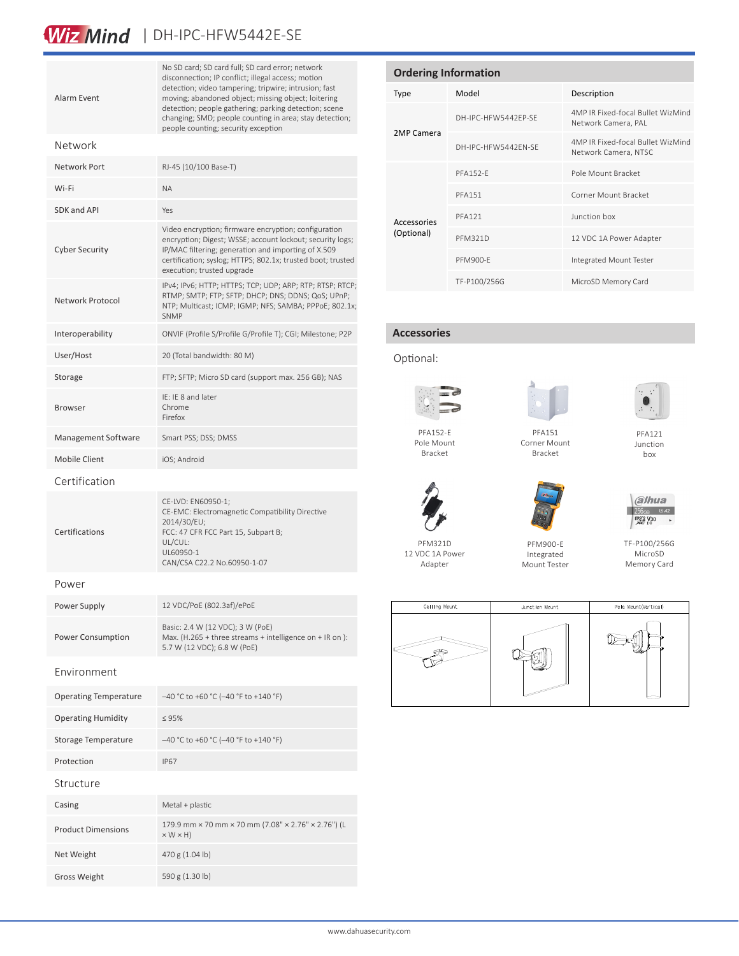## Wiz Mind | DH-IPC-HFW5442E-SE

| Alarm Event                  | No SD card; SD card full; SD card error; network<br>disconnection; IP conflict; illegal access; motion<br>detection; video tampering; tripwire; intrusion; fast<br>moving; abandoned object; missing object; loitering<br>detection; people gathering; parking detection; scene<br>changing; SMD; people counting in area; stay detection;<br>people counting; security exception |  |
|------------------------------|-----------------------------------------------------------------------------------------------------------------------------------------------------------------------------------------------------------------------------------------------------------------------------------------------------------------------------------------------------------------------------------|--|
| Network                      |                                                                                                                                                                                                                                                                                                                                                                                   |  |
| Network Port                 | RJ-45 (10/100 Base-T)                                                                                                                                                                                                                                                                                                                                                             |  |
| Wi-Fi                        | ΝA                                                                                                                                                                                                                                                                                                                                                                                |  |
| SDK and API                  | Yes                                                                                                                                                                                                                                                                                                                                                                               |  |
| <b>Cyber Security</b>        | Video encryption; firmware encryption; configuration<br>encryption; Digest; WSSE; account lockout; security logs;<br>IP/MAC filtering; generation and importing of X.509<br>certification; syslog; HTTPS; 802.1x; trusted boot; trusted<br>execution; trusted upgrade                                                                                                             |  |
| Network Protocol             | IPv4; IPv6; HTTP; HTTPS; TCP; UDP; ARP; RTP; RTSP; RTCP;<br>RTMP; SMTP; FTP; SFTP; DHCP; DNS; DDNS; QoS; UPnP;<br>NTP; Multicast; ICMP; IGMP; NFS; SAMBA; PPPoE; 802.1x;<br><b>SNMP</b>                                                                                                                                                                                           |  |
| Interoperability             | ONVIF (Profile S/Profile G/Profile T); CGI; Milestone; P2P                                                                                                                                                                                                                                                                                                                        |  |
| User/Host                    | 20 (Total bandwidth: 80 M)                                                                                                                                                                                                                                                                                                                                                        |  |
| Storage                      | FTP; SFTP; Micro SD card (support max. 256 GB); NAS                                                                                                                                                                                                                                                                                                                               |  |
| <b>Browser</b>               | IE: IE 8 and later<br>Chrome<br>Firefox                                                                                                                                                                                                                                                                                                                                           |  |
| Management Software          | Smart PSS; DSS; DMSS                                                                                                                                                                                                                                                                                                                                                              |  |
| <b>Mobile Client</b>         | iOS; Android                                                                                                                                                                                                                                                                                                                                                                      |  |
| Certification                |                                                                                                                                                                                                                                                                                                                                                                                   |  |
| Certifications               | CE-LVD: EN60950-1;<br>CE-EMC: Electromagnetic Compatibility Directive<br>2014/30/EU;<br>FCC: 47 CFR FCC Part 15, Subpart B;<br>UL/CUL:<br>UL60950-1<br>CAN/CSA C22.2 No.60950-1-07                                                                                                                                                                                                |  |
| Power                        |                                                                                                                                                                                                                                                                                                                                                                                   |  |
| Power Supply                 | 12 VDC/PoE (802.3af)/ePoE                                                                                                                                                                                                                                                                                                                                                         |  |
| Power Consumption            | Basic: 2.4 W (12 VDC); 3 W (PoE)<br>Max. (H.265 + three streams + intelligence on + IR on):<br>5.7 W (12 VDC); 6.8 W (PoE)                                                                                                                                                                                                                                                        |  |
| Environment                  |                                                                                                                                                                                                                                                                                                                                                                                   |  |
| <b>Operating Temperature</b> | $-40$ °C to +60 °C (-40 °F to +140 °F)                                                                                                                                                                                                                                                                                                                                            |  |
| <b>Operating Humidity</b>    | $\leq 95\%$                                                                                                                                                                                                                                                                                                                                                                       |  |
| Storage Temperature          | -40 °C to +60 °C (-40 °F to +140 °F)                                                                                                                                                                                                                                                                                                                                              |  |
| Protection                   | <b>IP67</b>                                                                                                                                                                                                                                                                                                                                                                       |  |
| Structure                    |                                                                                                                                                                                                                                                                                                                                                                                   |  |
| Casing                       | Metal + plastic                                                                                                                                                                                                                                                                                                                                                                   |  |
| <b>Product Dimensions</b>    | 179.9 mm × 70 mm × 70 mm (7.08" × 2.76" × 2.76") (L<br>$\times$ W $\times$ H)                                                                                                                                                                                                                                                                                                     |  |
| Net Weight                   | 470 g (1.04 lb)                                                                                                                                                                                                                                                                                                                                                                   |  |
| <b>Gross Weight</b>          | 590 g (1.30 lb)                                                                                                                                                                                                                                                                                                                                                                   |  |

| <b>Ordering Information</b> |                     |                                                           |  |  |
|-----------------------------|---------------------|-----------------------------------------------------------|--|--|
| <b>Type</b>                 | Model               | Description                                               |  |  |
| 2MP Camera                  | DH-IPC-HEW5442FP-SF | 4MP IR Fixed-focal Bullet WizMind<br>Network Camera, PAL  |  |  |
|                             | DH-IPC-HFW5442FN-SF | 4MP IR Fixed-focal Bullet WizMind<br>Network Camera, NTSC |  |  |
| Accessories<br>(Optional)   | <b>PFA152-F</b>     | Pole Mount Bracket                                        |  |  |
|                             | <b>PFA151</b>       | Corner Mount Bracket                                      |  |  |
|                             | <b>PFA121</b>       | lunction hox                                              |  |  |
|                             | <b>PFM321D</b>      | 12 VDC 1A Power Adapter                                   |  |  |
|                             | <b>PFM900-F</b>     | Integrated Mount Tester                                   |  |  |
|                             | TF-P100/256G        | MicroSD Memory Card                                       |  |  |

#### **Accessories**





PFA152-E Pole Mount Bracket

Adapter



Corner Mount Bracket





PFM900-E Integrated Mount Tester



TF-P100/256G MicroSD Memory Card









PFA121 Junction box